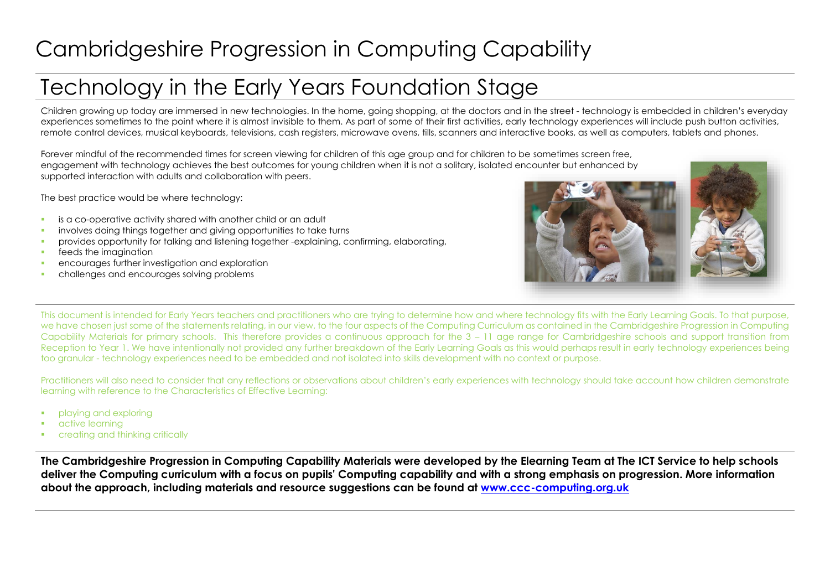## Cambridgeshire Progression in Computing Capability

## Technology in the Early Years Foundation Stage

Children growing up today are immersed in new technologies. In the home, going shopping, at the doctors and in the street - technology is embedded in children's everyday experiences sometimes to the point where it is almost invisible to them. As part of some of their first activities, early technology experiences will include push button activities, remote control devices, musical keyboards, televisions, cash registers, microwave ovens, tills, scanners and interactive books, as well as computers, tablets and phones.

Forever mindful of the recommended times for screen viewing for children of this age group and for children to be sometimes screen free, engagement with technology achieves the best outcomes for young children when it is not a solitary, isolated encounter but enhanced by supported interaction with adults and collaboration with peers.

The best practice would be where technology:

- **is a co-operative activity shared with another child or an adult**
- involves doing things together and giving opportunities to take turns
- **Provides opportunity for talking and listening together -explaining, confirming, elaborating,**
- **feeds the imagination**
- **EXECUTE:** encourages further investigation and exploration
- challenges and encourages solving problems



This document is intended for Early Years teachers and practitioners who are trying to determine how and where technology fits with the Early Learning Goals. To that purpose, we have chosen just some of the statements relating, in our view, to the four aspects of the Computing Curriculum as contained in the Cambridgeshire Progression in Computing Capability Materials for primary schools. This therefore provides a continuous approach for the 3 – 11 age range for Cambridgeshire schools and support transition from Reception to Year 1. We have intentionally not provided any further breakdown of the Early Learning Goals as this would perhaps result in early technology experiences being too granular - technology experiences need to be embedded and not isolated into skills development with no context or purpose.

Practitioners will also need to consider that any reflections or observations about children's early experiences with technology should take account how children demonstrate learning with reference to the Characteristics of Effective Learning:

- playing and exploring
- active learning
- creating and thinking critically

**The Cambridgeshire Progression in Computing Capability Materials were developed by the Elearning Team at The ICT Service to help schools deliver the Computing curriculum with a focus on pupils' Computing capability and with a strong emphasis on progression. More information about the approach, including materials and resource suggestions can be found at [www.ccc-computing.org.uk](http://www.ccc-computing.org.uk/)**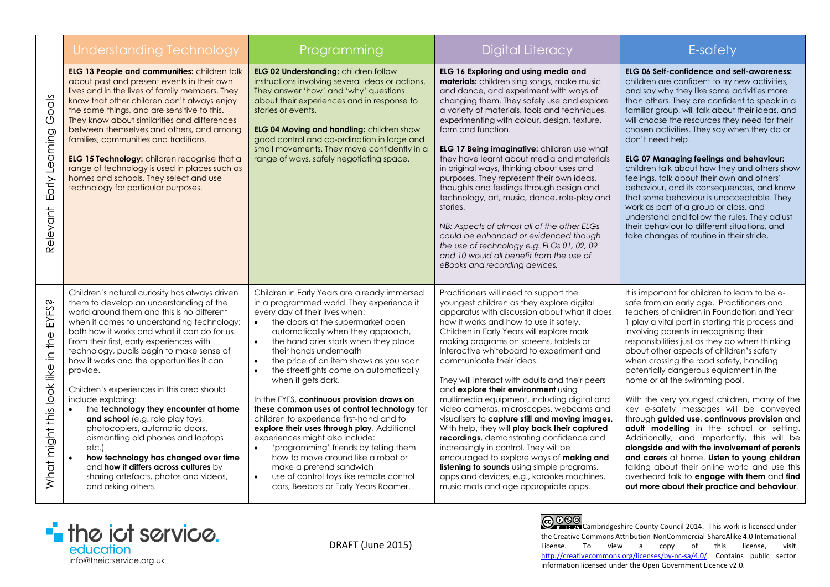|                                                | Understanding Technology                                                                                                                                                                                                                                                                                                                                                                                                                                                                                                                                                                                                                                                                                                                                                  | Programming                                                                                                                                                                                                                                                                                                                                                                                                                                                                                                                                                                                                                                                                                                                                                                                                                                                    | <b>Digital Literacy</b>                                                                                                                                                                                                                                                                                                                                                                                                                                                                                                                                                                                                                                                                                                                                                                                                                                                                                  | E-safety                                                                                                                                                                                                                                                                                                                                                                                                                                                                                                                                                                                                                                                                                                                                                                                                                                                                                                                                            |
|------------------------------------------------|---------------------------------------------------------------------------------------------------------------------------------------------------------------------------------------------------------------------------------------------------------------------------------------------------------------------------------------------------------------------------------------------------------------------------------------------------------------------------------------------------------------------------------------------------------------------------------------------------------------------------------------------------------------------------------------------------------------------------------------------------------------------------|----------------------------------------------------------------------------------------------------------------------------------------------------------------------------------------------------------------------------------------------------------------------------------------------------------------------------------------------------------------------------------------------------------------------------------------------------------------------------------------------------------------------------------------------------------------------------------------------------------------------------------------------------------------------------------------------------------------------------------------------------------------------------------------------------------------------------------------------------------------|----------------------------------------------------------------------------------------------------------------------------------------------------------------------------------------------------------------------------------------------------------------------------------------------------------------------------------------------------------------------------------------------------------------------------------------------------------------------------------------------------------------------------------------------------------------------------------------------------------------------------------------------------------------------------------------------------------------------------------------------------------------------------------------------------------------------------------------------------------------------------------------------------------|-----------------------------------------------------------------------------------------------------------------------------------------------------------------------------------------------------------------------------------------------------------------------------------------------------------------------------------------------------------------------------------------------------------------------------------------------------------------------------------------------------------------------------------------------------------------------------------------------------------------------------------------------------------------------------------------------------------------------------------------------------------------------------------------------------------------------------------------------------------------------------------------------------------------------------------------------------|
| God's<br>Early Learning<br>Relevant            | <b>ELG 13 People and communities: children talk</b><br>about past and present events in their own<br>lives and in the lives of family members. They<br>know that other children don't always enjoy<br>the same things, and are sensitive to this.<br>They know about similarities and differences<br>between themselves and others, and among<br>families, communities and traditions.<br>ELG 15 Technology: children recognise that a<br>range of technology is used in places such as<br>homes and schools. They select and use<br>technology for particular purposes.                                                                                                                                                                                                  | ELG 02 Understanding: children follow<br>instructions involving several ideas or actions.<br>They answer 'how' and 'why' questions<br>about their experiences and in response to<br>stories or events.<br>ELG 04 Moving and handling: children show<br>good control and co-ordination in large and<br>small movements. They move confidently in a<br>range of ways, safely negotiating space.                                                                                                                                                                                                                                                                                                                                                                                                                                                                  | ELG 16 Exploring and using media and<br><b>materials:</b> children sing songs, make music<br>and dance, and experiment with ways of<br>changing them. They safely use and explore<br>a variety of materials, tools and techniques,<br>experimenting with colour, design, texture,<br>form and function.<br>ELG 17 Being imaginative: children use what<br>they have learnt about media and materials<br>in original ways, thinking about uses and<br>purposes. They represent their own ideas,<br>thoughts and feelings through design and<br>technology, art, music, dance, role-play and<br>stories.<br>NB: Aspects of almost all of the other ELGs<br>could be enhanced or evidenced though<br>the use of technology e.g. ELGs 01, 02, 09<br>and 10 would all benefit from the use of<br>eBooks and recording devices.                                                                                | <b>ELG 06 Self-confidence and self-awareness:</b><br>children are confident to try new activities,<br>and say why they like some activities more<br>than others. They are confident to speak in a<br>familiar group, will talk about their ideas, and<br>will choose the resources they need for their<br>chosen activities. They say when they do or<br>don't need help.<br>ELG 07 Managing feelings and behaviour:<br>children talk about how they and others show<br>feelings, talk about their own and others'<br>behaviour, and its consequences, and know<br>that some behaviour is unacceptable. They<br>work as part of a group or class, and<br>understand and follow the rules. They adjust<br>their behaviour to different situations, and<br>take changes of routine in their stride.                                                                                                                                                   |
| ᠗<br>EYFS:<br>What might this look like in the | Children's natural curiosity has always driven<br>them to develop an understanding of the<br>world around them and this is no different<br>when it comes to understanding technology;<br>both how it works and what it can do for us.<br>From their first, early experiences with<br>technology, pupils begin to make sense of<br>how it works and the opportunities it can<br>provide.<br>Children's experiences in this area should<br>include exploring:<br>the technology they encounter at home<br>and school (e.g. role play toys,<br>photocopiers, automatic doors,<br>dismantling old phones and laptops<br>etc.)<br>how technology has changed over time<br>and how it differs across cultures by<br>sharing artefacts, photos and videos,<br>and asking others. | Children in Early Years are already immersed<br>in a programmed world. They experience it<br>every day of their lives when:<br>the doors at the supermarket open<br>automatically when they approach,<br>the hand drier starts when they place<br>$\bullet$<br>their hands underneath<br>the price of an item shows as you scan<br>$\bullet$<br>$\bullet$<br>the streetlights come on automatically<br>when it gets dark.<br>In the EYFS, continuous provision draws on<br>these common uses of control technology for<br>children to experience first-hand and to<br>explore their uses through play. Additional<br>experiences might also include:<br>'programming' friends by telling them<br>how to move around like a robot or<br>make a pretend sandwich<br>use of control toys like remote control<br>$\bullet$<br>cars, Beebots or Early Years Roamer. | Practitioners will need to support the<br>youngest children as they explore digital<br>apparatus with discussion about what it does,<br>how it works and how to use it safely.<br>Children in Early Years will explore mark<br>making programs on screens, tablets or<br>interactive whiteboard to experiment and<br>communicate their ideas.<br>They will Interact with adults and their peers<br>and explore their environment using<br>multimedia equipment, including digital and<br>video cameras, microscopes, webcams and<br>visualisers to capture still and moving images.<br>With help, they will play back their captured<br>recordings, demonstrating confidence and<br>increasingly in control. They will be<br>encouraged to explore ways of making and<br>listening to sounds using simple programs,<br>apps and devices, e.g., karaoke machines,<br>music mats and age appropriate apps. | It is important for children to learn to be e-<br>safe from an early age. Practitioners and<br>teachers of children in Foundation and Year<br>1 play a vital part in starting this process and<br>involving parents in recognising their<br>responsibilities just as they do when thinking<br>about other aspects of children's safety<br>when crossing the road safety, handling<br>potentially dangerous equipment in the<br>home or at the swimming pool.<br>With the very youngest children, many of the<br>key e-safety messages will be conveyed<br>through guided use, continuous provision and<br>adult modelling in the school or setting.<br>Additionally, and importantly, this will be<br>alongside and with the involvement of parents<br>and carers at home. Listen to young children<br>talking about their online world and use this<br>overheard talk to engage with them and find<br>out more about their practice and behaviour. |



CO 000 Cambridgeshire County Council 2014. This work is licensed under the Creative Commons Attribution-NonCommercial-ShareAlike 4.0 International License. To view a copy of this license, visit [http://creativecommons.org/licenses/by-nc-sa/4.0/.](http://creativecommons.org/licenses/by-nc-sa/4.0/) Contains public sector information licensed under the Open Government Licence v2.0.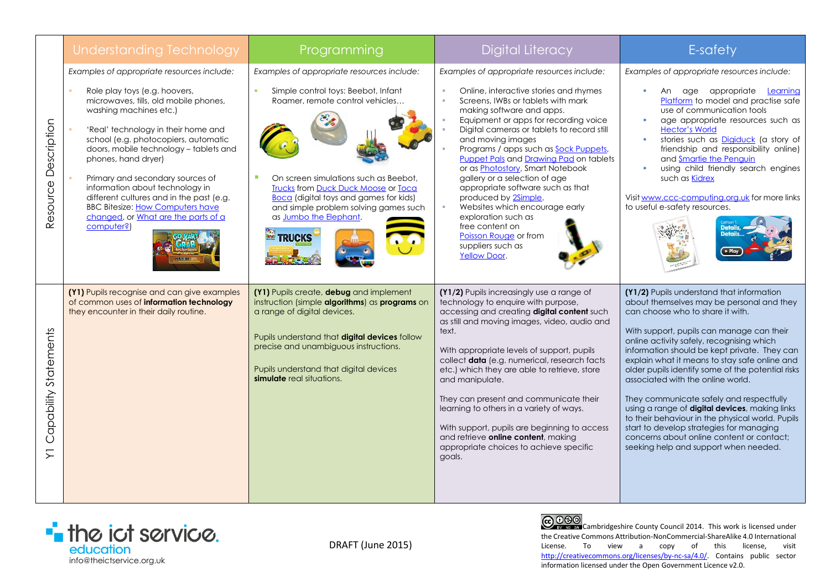|                                 | Understanding Technology                                                                                                                                                                                                                                                                                                                                                                                                                                                                                          | Programming                                                                                                                                                                                                                                                                                                                                       | <b>Digital Literacy</b>                                                                                                                                                                                                                                                                                                                                                                                                                                                                                                                                                                                                                                   | E-safety                                                                                                                                                                                                                                                                                                                                                                                                                                                                                                                                                                                                                                                                                            |
|---------------------------------|-------------------------------------------------------------------------------------------------------------------------------------------------------------------------------------------------------------------------------------------------------------------------------------------------------------------------------------------------------------------------------------------------------------------------------------------------------------------------------------------------------------------|---------------------------------------------------------------------------------------------------------------------------------------------------------------------------------------------------------------------------------------------------------------------------------------------------------------------------------------------------|-----------------------------------------------------------------------------------------------------------------------------------------------------------------------------------------------------------------------------------------------------------------------------------------------------------------------------------------------------------------------------------------------------------------------------------------------------------------------------------------------------------------------------------------------------------------------------------------------------------------------------------------------------------|-----------------------------------------------------------------------------------------------------------------------------------------------------------------------------------------------------------------------------------------------------------------------------------------------------------------------------------------------------------------------------------------------------------------------------------------------------------------------------------------------------------------------------------------------------------------------------------------------------------------------------------------------------------------------------------------------------|
| Description<br>Resource         | Examples of appropriate resources include:<br>Role play toys (e.g. hoovers,<br>microwaves, tills, old mobile phones,<br>washing machines etc.)<br>'Real' technology in their home and<br>school (e.g. photocopiers, automatic<br>doors, mobile technology - tablets and<br>phones, hand dryer)<br>Primary and secondary sources of<br>information about technology in<br>different cultures and in the past (e.g.<br><b>BBC Bitesize: How Computers have</b><br>changed, or What are the parts of a<br>computer?) | Examples of appropriate resources include:<br>Simple control toys: Beebot, Infant<br>Roamer, remote control vehicles<br>On screen simulations such as Beebot.<br><b>Trucks from Duck Duck Moose or Tocal</b><br><b>Boca</b> (digital toys and games for kids)<br>and simple problem solving games such<br>as Jumbo the Elephant.<br><b>TRUCKS</b> | Examples of appropriate resources include:<br>Online, interactive stories and rhymes<br>Screens, IWBs or tablets with mark<br>making software and apps.<br>Equipment or apps for recording voice<br>Digital cameras or tablets to record still<br>and moving images<br>Programs / apps such as <b>Sock Puppets</b> ,<br><b>Puppet Pals and Drawing Pad on tablets</b><br>or as <b>Photostory</b> , Smart Notebook<br>gallery or a selection of age<br>appropriate software such as that<br>produced by 2Simple.<br>Websites which encourage early<br>exploration such as<br>free content on<br>Poisson Rouge or from<br>suppliers such as<br>Yellow Door. | Examples of appropriate resources include:<br>An age appropriate <b>Learning</b><br>Platform to model and practise safe<br>use of communication tools<br>age appropriate resources such as<br>×<br><b>Hector's World</b><br>stories such as <b>Digiduck</b> (a story of<br>×<br>friendship and responsibility online)<br>and Smartie the Penguin<br>using child friendly search engines<br>$\overline{\phantom{a}}$<br>such as <b>Kidrex</b><br>Visit www.ccc-computing.org.uk for more links<br>to useful e-safety resources.                                                                                                                                                                      |
| Capability Statements<br>$\sum$ | (Y1) Pupils recognise and can give examples<br>of common uses of information technology<br>they encounter in their daily routine.                                                                                                                                                                                                                                                                                                                                                                                 | (Y1) Pupils create, debug and implement<br>instruction (simple algorithms) as programs on<br>a range of digital devices.<br>Pupils understand that digital devices follow<br>precise and unambiguous instructions.<br>Pupils understand that digital devices<br>simulate real situations.                                                         | (Y1/2) Pupils increasingly use a range of<br>technology to enquire with purpose,<br>accessing and creating digital content such<br>as still and moving images, video, audio and<br>text.<br>With appropriate levels of support, pupils<br>collect data (e.g. numerical, research facts<br>etc.) which they are able to retrieve, store<br>and manipulate.<br>They can present and communicate their<br>learning to others in a variety of ways.<br>With support, pupils are beginning to access<br>and retrieve online content, making<br>appropriate choices to achieve specific<br>goals.                                                               | (Y1/2) Pupils understand that information<br>about themselves may be personal and they<br>can choose who to share it with.<br>With support, pupils can manage can their<br>online activity safely, recognising which<br>information should be kept private. They can<br>explain what it means to stay safe online and<br>older pupils identify some of the potential risks<br>associated with the online world.<br>They communicate safely and respectfully<br>using a range of digital devices, making links<br>to their behaviour in the physical world. Pupils<br>start to develop strategies for managing<br>concerns about online content or contact:<br>seeking help and support when needed. |



DRAFT (June 2015)

CO 000 Cambridgeshire County Council 2014. This work is licensed under the Creative Commons Attribution-NonCommercial-ShareAlike 4.0 International<br>License. To view a copy of this license, visit License. To view a copy of this license, [http://creativecommons.org/licenses/by-nc-sa/4.0/.](http://creativecommons.org/licenses/by-nc-sa/4.0/) Contains public sector information licensed under the Open Government Licence v2.0.